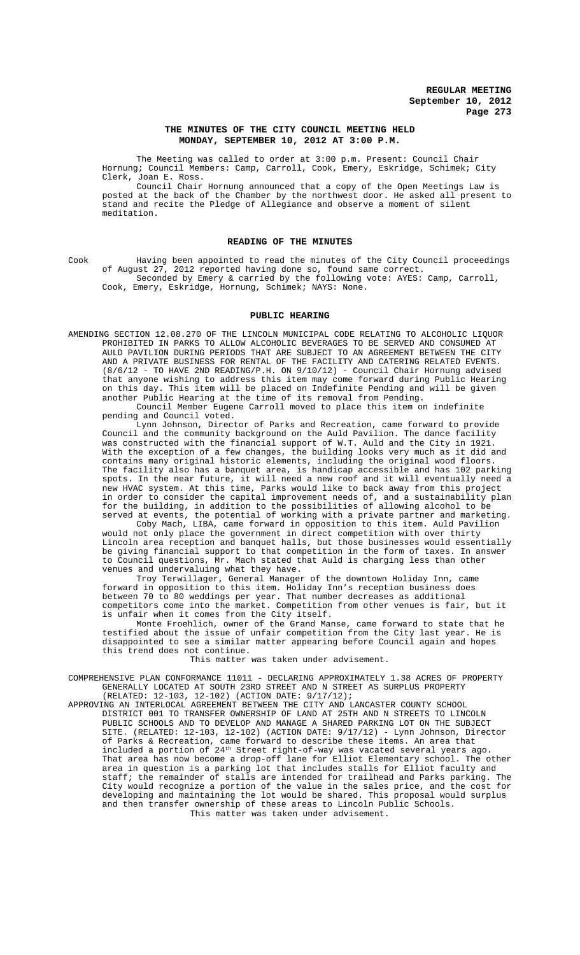## **THE MINUTES OF THE CITY COUNCIL MEETING HELD MONDAY, SEPTEMBER 10, 2012 AT 3:00 P.M.**

The Meeting was called to order at 3:00 p.m. Present: Council Chair Hornung; Council Members: Camp, Carroll, Cook, Emery, Eskridge, Schimek; City Clerk, Joan E. Ross.

Council Chair Hornung announced that a copy of the Open Meetings Law is posted at the back of the Chamber by the northwest door. He asked all present to stand and recite the Pledge of Allegiance and observe a moment of silent meditation.

# **READING OF THE MINUTES**

Cook Having been appointed to read the minutes of the City Council proceedings of August 27, 2012 reported having done so, found same correct. Seconded by Emery & carried by the following vote: AYES: Camp, Carroll, Cook, Emery, Eskridge, Hornung, Schimek; NAYS: None.

#### **PUBLIC HEARING**

AMENDING SECTION 12.08.270 OF THE LINCOLN MUNICIPAL CODE RELATING TO ALCOHOLIC LIQUOR PROHIBITED IN PARKS TO ALLOW ALCOHOLIC BEVERAGES TO BE SERVED AND CONSUMED AULD PAVILION DURING PERIODS THAT ARE SUBJECT TO AN AGREEMENT BETWEEN THE CITY AND A PRIVATE BUSINESS FOR RENTAL OF THE FACILITY AND CATERING RELATED EVENTS. (8/6/12 - TO HAVE 2ND READING/P.H. ON 9/10/12) - Council Chair Hornung advised that anyone wishing to address this item may come forward during Public Hearing on this day. This item will be placed on Indefinite Pending and will be given another Public Hearing at the time of its removal from Pending.

Council Member Eugene Carroll moved to place this item on indefinite pending and Council voted.

Lynn Johnson, Director of Parks and Recreation, came forward to provide Council and the community background on the Auld Pavilion. The dance facility was constructed with the financial support of W.T. Auld and the City in 1921. With the exception of a few changes, the building looks very much as it did and contains many original historic elements, including the original wood floors. The facility also has a banquet area, is handicap accessible and has 102 parking spots. In the near future, it will need a new roof and it will eventually need a new HVAC system. At this time, Parks would like to back away from this project in order to consider the capital improvement needs of, and a sustainability plan for the building, in addition to the possibilities of allowing alcohol to be served at events, the potential of working with a private partner and marketing.

Coby Mach, LIBA, came forward in opposition to this item. Auld Pavilion would not only place the government in direct competition with over thirty Lincoln area reception and banquet halls, but those businesses would essentially be giving financial support to that competition in the form of taxes. In answer to Council questions, Mr. Mach stated that Auld is charging less than other venues and undervaluing what they have.

Troy Terwillager, General Manager of the downtown Holiday Inn, came forward in opposition to this item. Holiday Inn's reception business does between 70 to 80 weddings per year. That number decreases as additional competitors come into the market. Competition from other venues is fair, but it is unfair when it comes from the City itself.

Monte Froehlich, owner of the Grand Manse, came forward to state that he<br>ied about the issue of unfair competition from the City last year. He is testified about the issue of unfair competition from the City last year. disappointed to see a similar matter appearing before Council again and hopes this trend does not continue.

This matter was taken under advisement.

COMPREHENSIVE PLAN CONFORMANCE 11011 - DECLARING APPROXIMATELY 1.38 ACRES OF PROPERTY GENERALLY LOCATED AT SOUTH 23RD STREET AND N STREET AS SURPLUS PROPERTY (RELATED: 12-103, 12-102) (ACTION DATE: 9/17/12);

APPROVING AN INTERLOCAL AGREEMENT BETWEEN THE CITY AND LANCASTER COUNTY SCHOOL DISTRICT 001 TO TRANSFER OWNERSHIP OF LAND AT 25TH AND N STREETS TO LINCOLN PUBLIC SCHOOLS AND TO DEVELOP AND MANAGE A SHARED PARKING LOT ON THE SUBJECT SITE. (RELATED: 12-103, 12-102) (ACTION DATE: 9/17/12) - Lynn Johnson, Director of Parks & Recreation, came forward to describe these items. An area that included a portion of 24th Street right-of-way was vacated several years ago. That area has now become a drop-off lane for Elliot Elementary school. The other area in question is a parking lot that includes stalls for Elliot faculty and staff; the remainder of stalls are intended for trailhead and Parks parking. The<br>City would recognize a portion of the value in the sales price, and the cost for City would recognize a portion of the value in the sales price, and the cost developing and maintaining the lot would be shared. This proposal would surplus and then transfer ownership of these areas to Lincoln Public Schools. This matter was taken under advisement.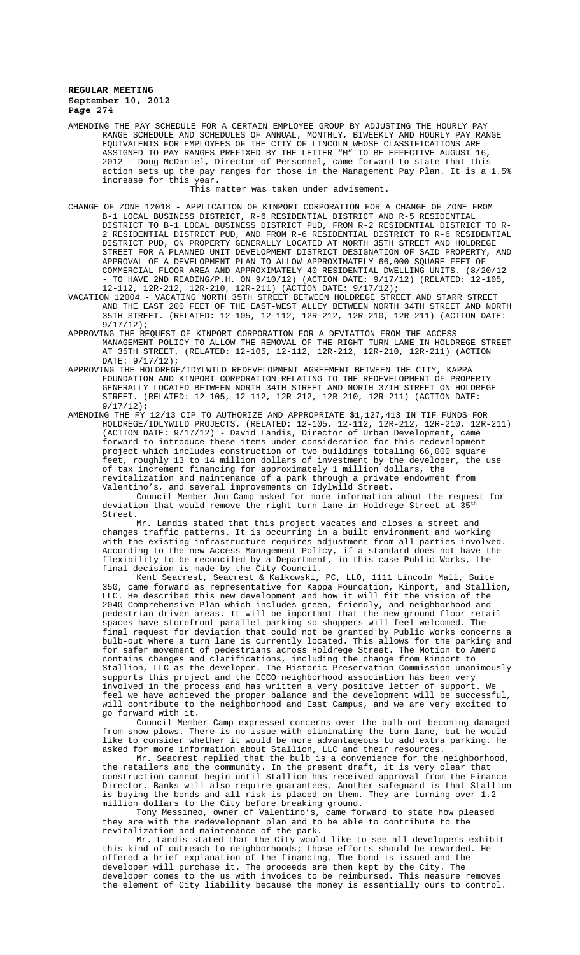AMENDING THE PAY SCHEDULE FOR A CERTAIN EMPLOYEE GROUP BY ADJUSTING THE HOURLY PAY RANGE SCHEDULE AND SCHEDULES OF ANNUAL, MONTHLY, BIWEEKLY AND HOURLY PAY RANGE EQUIVALENTS FOR EMPLOYEES OF THE CITY OF LINCOLN WHOSE CLASSIFICATIONS ARE ASSIGNED TO PAY RANGES PREFIXED BY THE LETTER "M" TO BE EFFECTIVE AUGUST 16, 2012 - Doug McDaniel, Director of Personnel, came forward to state that this action sets up the pay ranges for those in the Management Pay Plan. It is a 1.5% increase for this year.

This matter was taken under advisement.

CHANGE OF ZONE 12018 - APPLICATION OF KINPORT CORPORATION FOR A CHANGE OF ZONE FROM B-1 LOCAL BUSINESS DISTRICT, R-6 RESIDENTIAL DISTRICT AND R-5 RESIDENTIAL DISTRICT TO B-1 LOCAL BUSINESS DISTRICT PUD, FROM R-2 RESIDENTIAL DISTRICT TO R-2 RESIDENTIAL DISTRICT PUD, AND FROM R-6 RESIDENTIAL DISTRICT TO R-6 RESIDENTIAL DISTRICT PUD, ON PROPERTY GENERALLY LOCATED AT NORTH 35TH STREET AND HOLDREGE STREET FOR A PLANNED UNIT DEVELOPMENT DISTRICT DESIGNATION OF SAID PROPERTY, AND APPROVAL OF A DEVELOPMENT PLAN TO ALLOW APPROXIMATELY 66,000 SQUARE FEET OF COMMERCIAL FLOOR AREA AND APPROXIMATELY 40 RESIDENTIAL DWELLING UNITS. (8/20/12 - TO HAVE 2ND READING/P.H. ON 9/10/12) (ACTION DATE: 9/17/12) (RELATED: 12-105, 12-112, 12R-212, 12R-210, 12R-211) (ACTION DATE: 9/17/12);

VACATION 12004 - VACATING NORTH 35TH STREET BETWEEN HOLDREGE STREET AND STARR STREET AND THE EAST 200 FEET OF THE EAST-WEST ALLEY BETWEEN NORTH 34TH STREET AND NORTH 35TH STREET. (RELATED: 12-105, 12-112, 12R-212, 12R-210, 12R-211) (ACTION DATE: 9/17/12);

APPROVING THE REQUEST OF KINPORT CORPORATION FOR A DEVIATION FROM THE ACCESS MANAGEMENT POLICY TO ALLOW THE REMOVAL OF THE RIGHT TURN LANE IN HOLDREGE STREET AT 35TH STREET. (RELATED: 12-105, 12-112, 12R-212, 12R-210, 12R-211) (ACTION DATE: 9/17/12);

APPROVING THE HOLDREGE/IDYLWILD REDEVELOPMENT AGREEMENT BETWEEN THE CITY, KAPPA FOUNDATION AND KINPORT CORPORATION RELATING TO THE REDEVELOPMENT OF PROPERTY GENERALLY LOCATED BETWEEN NORTH 34TH STREET AND NORTH 37TH STREET ON HOLDREGE STREET. (RELATED: 12-105, 12-112, 12R-212, 12R-210, 12R-211) (ACTION DATE: 9/17/12);

AMENDING THE FY 12/13 CIP TO AUTHORIZE AND APPROPRIATE \$1,127,413 IN TIF FUNDS FOR HOLDREGE/IDLYWILD PROJECTS. (RELATED: 12-105, 12-112, 12R-212, 12R-210, 12R-211) (ACTION DATE: 9/17/12) - David Landis, Director of Urban Development, came forward to introduce these items under consideration for this redevelopment project which includes construction of two buildings totaling 66,000 square feet, roughly 13 to 14 million dollars of investment by the developer, the use of tax increment financing for approximately 1 million dollars, the revitalization and maintenance of a park through a private endowment from Valentino's, and several improvements on Idylwild Street.

Council Member Jon Camp asked for more information about the request for deviation that would remove the right turn lane in Holdrege Street at Street.

Mr. Landis stated that this project vacates and closes a street and changes traffic patterns. It is occurring in a built environment and working with the existing infrastructure requires adjustment from all parties involved. According to the new Access Management Policy, if a standard does not have the flexibility to be reconciled by a Department, in this case Public Works, the final decision is made by the City Council.

Kent Seacrest, Seacrest & Kalkowski, PC, LLO, 1111 Lincoln Mall, Suite 350, came forward as representative for Kappa Foundation, Kinport, and Stallion, LLC. He described this new development and how it will fit the vision of the 2040 Comprehensive Plan which includes green, friendly, and neighborhood and pedestrian driven areas. It will be important that the new ground floor retail spaces have storefront parallel parking so shoppers will feel welcomed. The final request for deviation that could not be granted by Public Works concerns a bulb-out where a turn lane is currently located. This allows for the parking and for safer movement of pedestrians across Holdrege Street. The Motion to Amend contains changes and clarifications, including the change from Kinport to Stallion, LLC as the developer. The Historic Preservation Commission unanimously supports this project and the ECCO neighborhood association has been very involved in the process and has written a very positive letter of support. We feel we have achieved the proper balance and the development will be successful, will contribute to the neighborhood and East Campus, and we are very excited to go forward with it.

Council Member Camp expressed concerns over the bulb-out becoming damaged from snow plows. There is no issue with eliminating the turn lane, but he would like to consider whether it would be more advantageous to add extra parking. He asked for more information about Stallion, LLC and their resources.

Mr. Seacrest replied that the bulb is a convenience for the neighborhood, the retailers and the community. In the present draft, it is very clear that construction cannot begin until Stallion has received approval from the Finance Director. Banks will also require guarantees. Another safeguard is that Stallion is buying the bonds and all risk is placed on them. They are turning over 1.2 million dollars to the City before breaking ground.

Tony Messineo, owner of Valentino's, came forward to state how pleased they are with the redevelopment plan and to be able to contribute to the revitalization and maintenance of the park.

Mr. Landis stated that the City would like to see all developers exhibit this kind of outreach to neighborhoods; those efforts should be rewarded. He offered a brief explanation of the financing. The bond is issued and the developer will purchase it. The proceeds are then kept by the City. The developer comes to the us with invoices to be reimbursed. This measure removes the element of City liability because the money is essentially ours to control.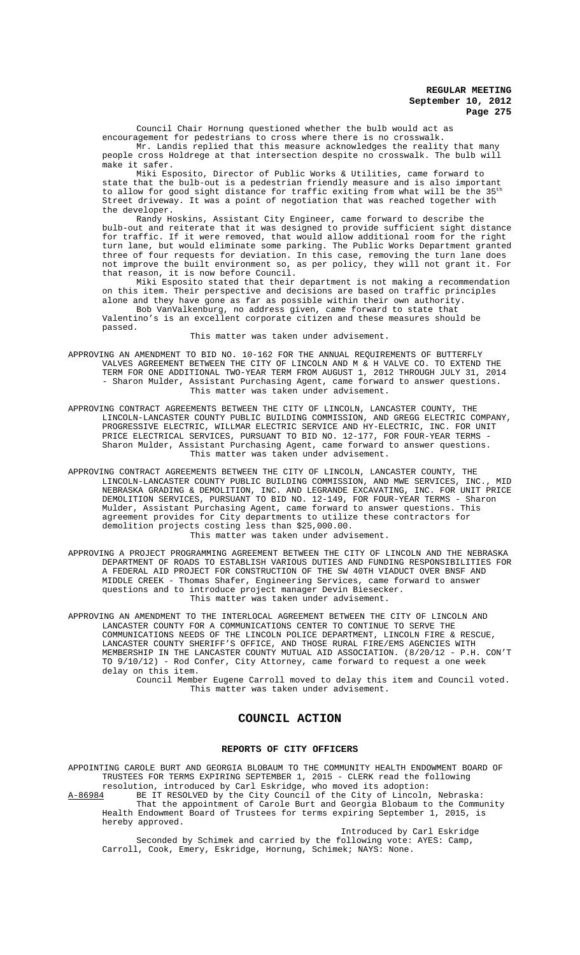Council Chair Hornung questioned whether the bulb would act as

encouragement for pedestrians to cross where there is no crosswalk. Mr. Landis replied that this measure acknowledges the reality that many people cross Holdrege at that intersection despite no crosswalk. The bulb will make it safer.

Miki Esposito, Director of Public Works & Utilities, came forward to state that the bulb-out is a pedestrian friendly measure and is also important to allow for good sight distance for traffic exiting from what will be the 35<sup>th</sup> Street driveway. It was a point of negotiation that was reached together with the developer.

Randy Hoskins, Assistant City Engineer, came forward to describe the bulb-out and reiterate that it was designed to provide sufficient sight distance for traffic. If it were removed, that would allow additional room for the right turn lane, but would eliminate some parking. The Public Works Department granted three of four requests for deviation. In this case, removing the turn lane does not improve the built environment so, as per policy, they will not grant it. For that reason, it is now before Council.

Miki Esposito stated that their department is not making a recommendation on this item. Their perspective and decisions are based on traffic principles alone and they have gone as far as possible within their own authority.

Bob VanValkenburg, no address given, came forward to state that Valentino's is an excellent corporate citizen and these measures should be passed.

This matter was taken under advisement.

APPROVING AN AMENDMENT TO BID NO. 10-162 FOR THE ANNUAL REQUIREMENTS OF BUTTERFLY VALVES AGREEMENT BETWEEN THE CITY OF LINCOLN AND M & H VALVE CO. TO EXTEND THE TERM FOR ONE ADDITIONAL TWO-YEAR TERM FROM AUGUST 1, 2012 THROUGH JULY 31, 2014 - Sharon Mulder, Assistant Purchasing Agent, came forward to answer questions. This matter was taken under advisement.

APPROVING CONTRACT AGREEMENTS BETWEEN THE CITY OF LINCOLN, LANCASTER COUNTY, THE LINCOLN-LANCASTER COUNTY PUBLIC BUILDING COMMISSION, AND GREGG ELECTRIC COMPANY, PROGRESSIVE ELECTRIC, WILLMAR ELECTRIC SERVICE AND HY-ELECTRIC, INC. FOR UNIT PRICE ELECTRICAL SERVICES, PURSUANT TO BID NO. 12-177, FOR FOUR-YEAR TERMS - Sharon Mulder, Assistant Purchasing Agent, came forward to answer questions. This matter was taken under advisement.

APPROVING CONTRACT AGREEMENTS BETWEEN THE CITY OF LINCOLN, LANCASTER COUNTY, THE LINCOLN-LANCASTER COUNTY PUBLIC BUILDING COMMISSION, AND MWE SERVICES, INC., MID NEBRASKA GRADING & DEMOLITION, INC. AND LEGRANDE EXCAVATING, INC. FOR UNIT PRICE DEMOLITION SERVICES, PURSUANT TO BID NO. 12-149, FOR FOUR-YEAR TERMS - Sharon Mulder, Assistant Purchasing Agent, came forward to answer questions. This agreement provides for City departments to utilize these contractors for demolition projects costing less than \$25,000.00. This matter was taken under advisement.

APPROVING A PROJECT PROGRAMMING AGREEMENT BETWEEN THE CITY OF LINCOLN AND THE NEBRASKA DEPARTMENT OF ROADS TO ESTABLISH VARIOUS DUTIES AND FUNDING RESPONSIBILITIES FOR A FEDERAL AID PROJECT FOR CONSTRUCTION OF THE SW 40TH VIADUCT OVER BNSF AND MIDDLE CREEK - Thomas Shafer, Engineering Services, came forward to answer questions and to introduce project manager Devin Biesecker. This matter was taken under advisement.

APPROVING AN AMENDMENT TO THE INTERLOCAL AGREEMENT BETWEEN THE CITY OF LINCOLN AND LANCASTER COUNTY FOR A COMMUNICATIONS CENTER TO CONTINUE TO SERVE THE COMMUNICATIONS NEEDS OF THE LINCOLN POLICE DEPARTMENT, LINCOLN FIRE & RESCUE, LANCASTER COUNTY SHERIFF'S OFFICE, AND THOSE RURAL FIRE/EMS AGENCIES WITH MEMBERSHIP IN THE LANCASTER COUNTY MUTUAL AID ASSOCIATION. (8/20/12 - P.H. CON'T TO 9/10/12) - Rod Confer, City Attorney, came forward to request a one week delay on this item.

Council Member Eugene Carroll moved to delay this item and Council voted. This matter was taken under advisement.

# **COUNCIL ACTION**

#### **REPORTS OF CITY OFFICERS**

APPOINTING CAROLE BURT AND GEORGIA BLOBAUM TO THE COMMUNITY HEALTH ENDOWMENT BOARD OF TRUSTEES FOR TERMS EXPIRING SEPTEMBER 1, 2015 - CLERK read the following resolution, introduced by Carl Eskridge, who moved its adoption:

A-86984 BE IT RESOLVED by the City Council of the City of Lincoln, Nebraska: That the appointment of Carole Burt and Georgia Blobaum to the Community Health Endowment Board of Trustees for terms expiring September 1, 2015, is hereby approved.

Introduced by Carl Eskridge Seconded by Schimek and carried by the following vote: AYES: Camp, Carroll, Cook, Emery, Eskridge, Hornung, Schimek; NAYS: None.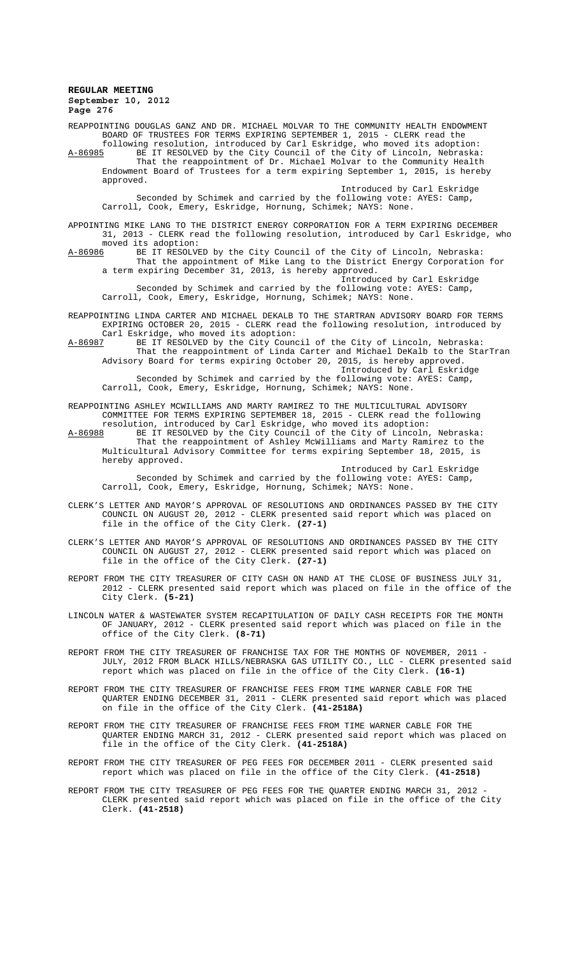REAPPOINTING DOUGLAS GANZ AND DR. MICHAEL MOLVAR TO THE COMMUNITY HEALTH ENDOWMENT BOARD OF TRUSTEES FOR TERMS EXPIRING SEPTEMBER 1, 2015 - CLERK read the following resolution, introduced by Carl Eskridge, who moved its adoption: A-86985 BE IT RESOLVED by the City Council of the City of Lincoln, Nebraska: That the reappointment of Dr. Michael Molvar to the Community Health Endowment Board of Trustees for a term expiring September 1, 2015, is hereby approved. Introduced by Carl Eskridge

Seconded by Schimek and carried by the following vote: AYES: Camp, Carroll, Cook, Emery, Eskridge, Hornung, Schimek; NAYS: None.

APPOINTING MIKE LANG TO THE DISTRICT ENERGY CORPORATION FOR A TERM EXPIRING DECEMBER 31, 2013 - CLERK read the following resolution, introduced by Carl Eskridge, who moved its adoption:<br>A-86986 BE IT RESOLVI

BE IT RESOLVED by the City Council of the City of Lincoln, Nebraska: That the appointment of Mike Lang to the District Energy Corporation for a term expiring December 31, 2013, is hereby approved.

Introduced by Carl Eskridge Seconded by Schimek and carried by the following vote: AYES: Camp, Carroll, Cook, Emery, Eskridge, Hornung, Schimek; NAYS: None.

REAPPOINTING LINDA CARTER AND MICHAEL DEKALB TO THE STARTRAN ADVISORY BOARD FOR TERMS EXPIRING OCTOBER 20, 2015 - CLERK read the following resolution, introduced by

Carl Eskridge, who moved its adoption:<br>A-86987 BE IT RESOLVED by the City Cound BE IT RESOLVED by the City Council of the City of Lincoln, Nebraska: That the reappointment of Linda Carter and Michael DeKalb to the StarTran Advisory Board for terms expiring October 20, 2015, is hereby approved. Introduced by Carl Eskridge Seconded by Schimek and carried by the following vote: AYES: Camp,

Carroll, Cook, Emery, Eskridge, Hornung, Schimek; NAYS: None.

REAPPOINTING ASHLEY MCWILLIAMS AND MARTY RAMIREZ TO THE MULTICULTURAL ADVISORY COMMITTEE FOR TERMS EXPIRING SEPTEMBER 18, 2015 - CLERK read the following resolution, introduced by Carl Eskridge, who moved its adoption:

A-86988 BE IT RESOLVED by the City Council of the City of Lincoln, Nebraska: That the reappointment of Ashley McWilliams and Marty Ramirez to the Multicultural Advisory Committee for terms expiring September 18, 2015, is hereby approved.

Introduced by Carl Eskridge Seconded by Schimek and carried by the following vote: AYES: Camp, Carroll, Cook, Emery, Eskridge, Hornung, Schimek; NAYS: None.

- CLERK'S LETTER AND MAYOR'S APPROVAL OF RESOLUTIONS AND ORDINANCES PASSED BY THE CITY COUNCIL ON AUGUST 20, 2012 - CLERK presented said report which was placed on file in the office of the City Clerk. **(27-1)**
- CLERK'S LETTER AND MAYOR'S APPROVAL OF RESOLUTIONS AND ORDINANCES PASSED BY THE CITY COUNCIL ON AUGUST 27, 2012 - CLERK presented said report which was placed on file in the office of the City Clerk. **(27-1)**
- REPORT FROM THE CITY TREASURER OF CITY CASH ON HAND AT THE CLOSE OF BUSINESS JULY 31, 2012 - CLERK presented said report which was placed on file in the office of the City Clerk. **(5-21)**

LINCOLN WATER & WASTEWATER SYSTEM RECAPITULATION OF DAILY CASH RECEIPTS FOR THE MONTH OF JANUARY, 2012 - CLERK presented said report which was placed on file in the office of the City Clerk. **(8-71)**

- REPORT FROM THE CITY TREASURER OF FRANCHISE TAX FOR THE MONTHS OF NOVEMBER, 2011 -JULY, 2012 FROM BLACK HILLS/NEBRASKA GAS UTILITY CO., LLC - CLERK presented said report which was placed on file in the office of the City Clerk. **(16-1)**
- REPORT FROM THE CITY TREASURER OF FRANCHISE FEES FROM TIME WARNER CABLE FOR THE QUARTER ENDING DECEMBER 31, 2011 - CLERK presented said report which was placed on file in the office of the City Clerk. **(41-2518A)**
- REPORT FROM THE CITY TREASURER OF FRANCHISE FEES FROM TIME WARNER CABLE FOR THE QUARTER ENDING MARCH 31, 2012 - CLERK presented said report which was placed on file in the office of the City Clerk. **(41-2518A)**
- REPORT FROM THE CITY TREASURER OF PEG FEES FOR DECEMBER 2011 CLERK presented said report which was placed on file in the office of the City Clerk. **(41-2518)**
- REPORT FROM THE CITY TREASURER OF PEG FEES FOR THE QUARTER ENDING MARCH 31, 2012 CLERK presented said report which was placed on file in the office of the City Clerk. **(41-2518)**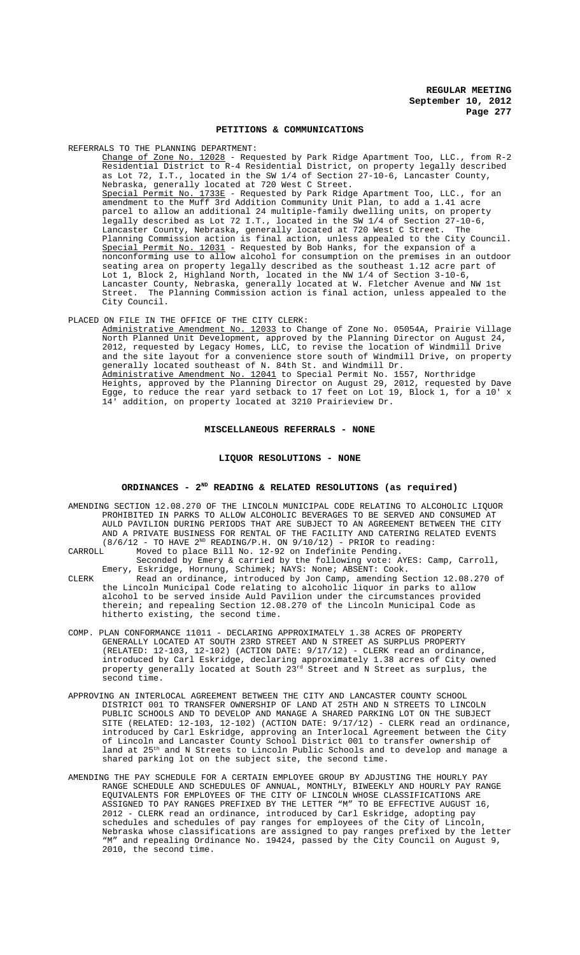#### **PETITIONS & COMMUNICATIONS**

REFERRALS TO THE PLANNING DEPARTMENT:

Change of Zone No. 12028 - Requested by Park Ridge Apartment Too, LLC., from R-2 Residential District to R-4 Residential District, on property legally described as Lot 72, I.T., located in the SW 1/4 of Section 27-10-6, Lancaster County, Nebraska, generally located at 720 West C Street. Special Permit No. 1733E - Requested by Park Ridge Apartment Too, LLC., for an amendment to the Muff 3rd Addition Community Unit Plan, to add a 1.41 acre parcel to allow an additional 24 multiple-family dwelling units, on property legally described as Lot 72 I.T., located in the SW 1/4 of Section 27-10-6, Lancaster County, Nebraska, generally located at 720 West C Street. The Planning Commission action is final action, unless appealed to the City Council. Special Permit No. 12031 - Requested by Bob Hanks, for the expansion of a nonconforming use to allow alcohol for consumption on the premises in an outdoor seating area on property legally described as the southeast 1.12 acre part of Lot 1, Block 2, Highland North, located in the NW 1/4 of Section 3-10-6, Lancaster County, Nebraska, generally located at W. Fletcher Avenue and NW 1st Street. The Planning Commission action is final action, unless appealed to the City Council.

#### PLACED ON FILE IN THE OFFICE OF THE CITY CLERK:

Administrative Amendment No. 12033 to Change of Zone No. 05054A, Prairie Village North Planned Unit Development, approved by the Planning Director on August 24, 2012, requested by Legacy Homes, LLC, to revise the location of Windmill Drive and the site layout for a convenience store south of Windmill Drive, on property generally located southeast of N. 84th St. and Windmill Dr. Administrative Amendment No. 12041 to Special Permit No. 1557, Northridge Heights, approved by the Planning Director on August 29, 2012, requested by Dave Egge, to reduce the rear yard setback to 17 feet on Lot 19, Block 1, for a 10' x 14' addition, on property located at 3210 Prairieview Dr.

#### **MISCELLANEOUS REFERRALS - NONE**

#### **LIQUOR RESOLUTIONS - NONE**

#### **ORDINANCES - 2ND READING & RELATED RESOLUTIONS (as required)**

- AMENDING SECTION 12.08.270 OF THE LINCOLN MUNICIPAL CODE RELATING TO ALCOHOLIC LIQUOR PROHIBITED IN PARKS TO ALLOW ALCOHOLIC BEVERAGES TO BE SERVED AND CONSUMED AT AULD PAVILION DURING PERIODS THAT ARE SUBJECT TO AN AGREEMENT BETWEEN THE CITY AND A PRIVATE BUSINESS FOR RENTAL OF THE FACILITY AND CATERING RELATED EVENTS  $(8/6/12$  - TO HAVE  $2^{ND}$  READING/P.H. ON  $9/10/12$ ) - PRIOR to reading:<br>CARROLL Moved to place Bill No. 12-92 on Indefinite Pending.
- Moved to place Bill No. 12-92 on Indefinite Pending. Seconded by Emery & carried by the following vote: AYES: Camp, Carroll,
- Emery, Eskridge, Hornung, Schimek; NAYS: None; ABSENT: Cook. CLERK Read an ordinance, introduced by Jon Camp, amending Section 12.08.270 of the Lincoln Municipal Code relating to alcoholic liquor in parks to allow alcohol to be served inside Auld Pavilion under the circumstances provided therein; and repealing Section 12.08.270 of the Lincoln Municipal Code as hitherto existing, the second time.
- COMP. PLAN CONFORMANCE 11011 DECLARING APPROXIMATELY 1.38 ACRES OF PROPERTY GENERALLY LOCATED AT SOUTH 23RD STREET AND N STREET AS SURPLUS PROPERTY (RELATED: 12-103, 12-102) (ACTION DATE: 9/17/12) - CLERK read an ordinance, introduced by Carl Eskridge, declaring approximately 1.38 acres of City owned property generally located at South  $23^{\text{rd}}$  Street and N Street as surplus, the second time.
- APPROVING AN INTERLOCAL AGREEMENT BETWEEN THE CITY AND LANCASTER COUNTY SCHOOL DISTRICT 001 TO TRANSFER OWNERSHIP OF LAND AT 25TH AND N STREETS TO LINCOLN PUBLIC SCHOOLS AND TO DEVELOP AND MANAGE A SHARED PARKING LOT ON THE SUBJECT SITE (RELATED: 12-103, 12-102) (ACTION DATE: 9/17/12) - CLERK read an ordinance, introduced by Carl Eskridge, approving an Interlocal Agreement between the City of Lincoln and Lancaster County School District 001 to transfer ownership of land at 25<sup>th</sup> and N Streets to Lincoln Public Schools and to develop and manage a shared parking lot on the subject site, the second time.
- AMENDING THE PAY SCHEDULE FOR A CERTAIN EMPLOYEE GROUP BY ADJUSTING THE HOURLY PAY RANGE SCHEDULE AND SCHEDULES OF ANNUAL, MONTHLY, BIWEEKLY AND HOURLY PAY RANGE EQUIVALENTS FOR EMPLOYEES OF THE CITY OF LINCOLN WHOSE CLASSIFICATIONS ARE ASSIGNED TO PAY RANGES PREFIXED BY THE LETTER "M" TO BE EFFECTIVE AUGUST 16, 2012 - CLERK read an ordinance, introduced by Carl Eskridge, adopting pay schedules and schedules of pay ranges for employees of the City of Lincoln, Nebraska whose classifications are assigned to pay ranges prefixed by the letter "M" and repealing Ordinance No. 19424, passed by the City Council on August 9, 2010, the second time.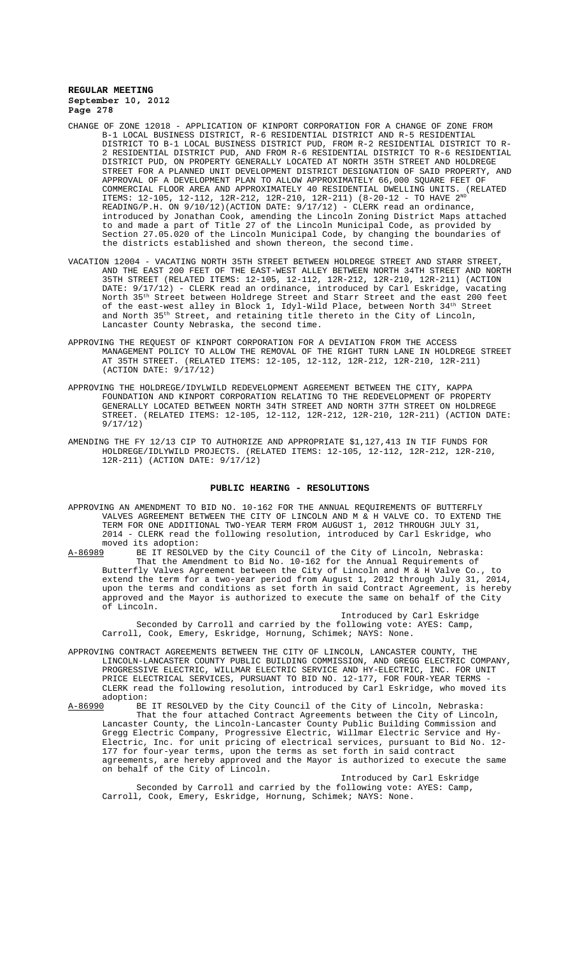- CHANGE OF ZONE 12018 APPLICATION OF KINPORT CORPORATION FOR A CHANGE OF ZONE FROM B-1 LOCAL BUSINESS DISTRICT, R-6 RESIDENTIAL DISTRICT AND R-5 RESIDENTIAL DISTRICT TO B-1 LOCAL BUSINESS DISTRICT PUD, FROM R-2 RESIDENTIAL DISTRICT TO R-2 RESIDENTIAL DISTRICT PUD, AND FROM R-6 RESIDENTIAL DISTRICT TO R-6 RESIDENTIAL DISTRICT PUD, ON PROPERTY GENERALLY LOCATED AT NORTH 35TH STREET AND HOLDREGE STREET FOR A PLANNED UNIT DEVELOPMENT DISTRICT DESIGNATION OF SAID PROPERTY, AND APPROVAL OF A DEVELOPMENT PLAN TO ALLOW APPROXIMATELY 66,000 SQUARE FEET OF COMMERCIAL FLOOR AREA AND APPROXIMATELY 40 RESIDENTIAL DWELLING UNITS. (RELATED ITEMS: 12-105, 12-112, 12R-212, 12R-210, 12R-211) (8-20-12 - TO HAVE  $2^{ND}$ READING/P.H. ON 9/10/12)(ACTION DATE: 9/17/12) - CLERK read an ordinance, introduced by Jonathan Cook, amending the Lincoln Zoning District Maps attached to and made a part of Title 27 of the Lincoln Municipal Code, as provided by Section 27.05.020 of the Lincoln Municipal Code, by changing the boundaries of the districts established and shown thereon, the second time.
- VACATION 12004 VACATING NORTH 35TH STREET BETWEEN HOLDREGE STREET AND STARR STREET, AND THE EAST 200 FEET OF THE EAST-WEST ALLEY BETWEEN NORTH 34TH STREET AND NORTH 35TH STREET (RELATED ITEMS: 12-105, 12-112, 12R-212, 12R-210, 12R-211) (ACTION DATE: 9/17/12) - CLERK read an ordinance, introduced by Carl Eskridge, vacating North 35th Street between Holdrege Street and Starr Street and the east 200 feet of the east-west alley in Block 1, Idyl-Wild Place, between North  $34^{\rm th}$  Street and North 35th Street, and retaining title thereto in the City of Lincoln, Lancaster County Nebraska, the second time.
- APPROVING THE REQUEST OF KINPORT CORPORATION FOR A DEVIATION FROM THE ACCESS MANAGEMENT POLICY TO ALLOW THE REMOVAL OF THE RIGHT TURN LANE IN HOLDREGE STREET AT 35TH STREET. (RELATED ITEMS: 12-105, 12-112, 12R-212, 12R-210, 12R-211) (ACTION DATE: 9/17/12)
- APPROVING THE HOLDREGE/IDYLWILD REDEVELOPMENT AGREEMENT BETWEEN THE CITY, KAPPA FOUNDATION AND KINPORT CORPORATION RELATING TO THE REDEVELOPMENT OF PROPERTY GENERALLY LOCATED BETWEEN NORTH 34TH STREET AND NORTH 37TH STREET ON HOLDREGE STREET. (RELATED ITEMS: 12-105, 12-112, 12R-212, 12R-210, 12R-211) (ACTION DATE: 9/17/12)
- AMENDING THE FY 12/13 CIP TO AUTHORIZE AND APPROPRIATE \$1,127,413 IN TIF FUNDS FOR HOLDREGE/IDLYWILD PROJECTS. (RELATED ITEMS: 12-105, 12-112, 12R-212, 12R-210, 12R-211) (ACTION DATE: 9/17/12)

#### **PUBLIC HEARING - RESOLUTIONS**

APPROVING AN AMENDMENT TO BID NO. 10-162 FOR THE ANNUAL REQUIREMENTS OF BUTTERFLY VALVES AGREEMENT BETWEEN THE CITY OF LINCOLN AND M & H VALVE CO. TO EXTEND THE TERM FOR ONE ADDITIONAL TWO-YEAR TERM FROM AUGUST 1, 2012 THROUGH JULY 31, 2014 - CLERK read the following resolution, introduced by Carl Eskridge, who

moved its adoption:<br>A-86989 BE IT RESOLVED by the City Council of the City of Lincoln, Nebraska: A-86989 BE IT RESOLVED by the City Council of the City of Lincoln, Nebraska: That the Amendment to Bid No. 10-162 for the Annual Requirements of Butterfly Valves Agreement between the City of Lincoln and M & H Valve Co., to extend the term for a two-year period from August 1, 2012 through July 31, 2014, upon the terms and conditions as set forth in said Contract Agreement, is hereby approved and the Mayor is authorized to execute the same on behalf of the City of Lincoln.

Introduced by Carl Eskridge Seconded by Carroll and carried by the following vote: AYES: Camp, Carroll, Cook, Emery, Eskridge, Hornung, Schimek; NAYS: None.

APPROVING CONTRACT AGREEMENTS BETWEEN THE CITY OF LINCOLN, LANCASTER COUNTY, THE LINCOLN-LANCASTER COUNTY PUBLIC BUILDING COMMISSION, AND GREGG ELECTRIC COMPANY, PROGRESSIVE ELECTRIC, WILLMAR ELECTRIC SERVICE AND HY-ELECTRIC, INC. FOR UNIT PRICE ELECTRICAL SERVICES, PURSUANT TO BID NO. 12-177, FOR FOUR-YEAR TERMS - CLERK read the following resolution, introduced by Carl Eskridge, who moved its adoption:<br>A-86990 BE

BE IT RESOLVED by the City Council of the City of Lincoln, Nebraska: That the four attached Contract Agreements between the City of Lincoln, Lancaster County, the Lincoln-Lancaster County Public Building Commission and Gregg Electric Company, Progressive Electric, Willmar Electric Service and Hy-Electric, Inc. for unit pricing of electrical services, pursuant to Bid No. 12- 177 for four-year terms, upon the terms as set forth in said contract agreements, are hereby approved and the Mayor is authorized to execute the same on behalf of the City of Lincoln.

Introduced by Carl Eskridge Seconded by Carroll and carried by the following vote: AYES: Camp, Carroll, Cook, Emery, Eskridge, Hornung, Schimek; NAYS: None.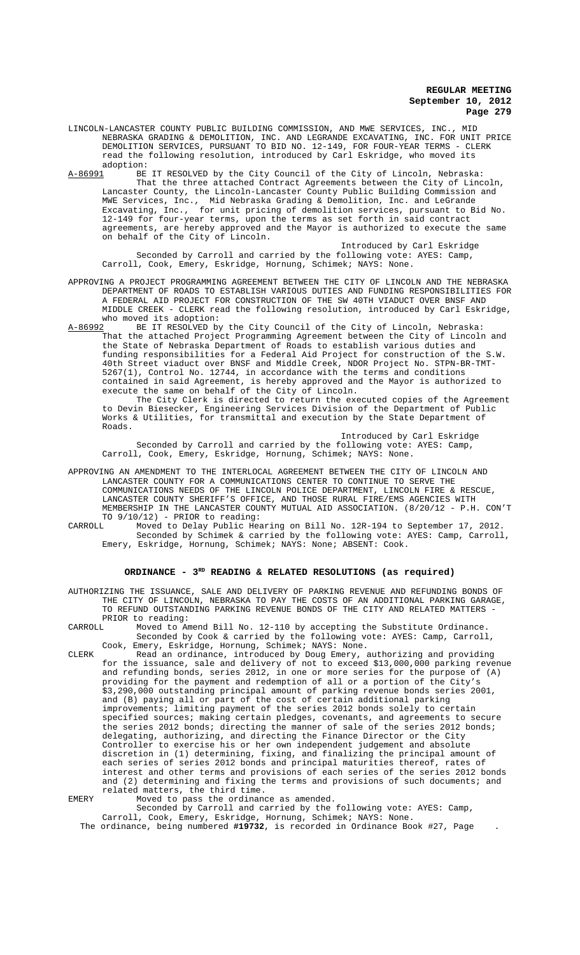LINCOLN-LANCASTER COUNTY PUBLIC BUILDING COMMISSION, AND MWE SERVICES, INC., MID NEBRASKA GRADING & DEMOLITION, INC. AND LEGRANDE EXCAVATING, INC. FOR UNIT PRICE DEMOLITION SERVICES, PURSUANT TO BID NO. 12-149, FOR FOUR-YEAR TERMS - CLERK read the following resolution, introduced by Carl Eskridge, who moved its adoption:<br>A-86991 BE

BE IT RESOLVED by the City Council of the City of Lincoln, Nebraska: That the three attached Contract Agreements between the City of Lincoln, Lancaster County, the Lincoln-Lancaster County Public Building Commission and MWE Services, Inc., Mid Nebraska Grading & Demolition, Inc. and LeGrande Excavating, Inc., Mid Nebraska Grading & Demolition, Inc. and Booksman<br>Excavating, Inc., for unit pricing of demolition services, pursuant to Bid No. 12-149 for four-year terms, upon the terms as set forth in said contract agreements, are hereby approved and the Mayor is authorized to execute the same on behalf of the City of Lincoln.

Introduced by Carl Eskridge Seconded by Carroll and carried by the following vote: AYES: Camp, Carroll, Cook, Emery, Eskridge, Hornung, Schimek; NAYS: None.

APPROVING A PROJECT PROGRAMMING AGREEMENT BETWEEN THE CITY OF LINCOLN AND THE NEBRASKA DEPARTMENT OF ROADS TO ESTABLISH VARIOUS DUTIES AND FUNDING RESPONSIBILITIES FOR A FEDERAL AID PROJECT FOR CONSTRUCTION OF THE SW 40TH VIADUCT OVER BNSF AND MIDDLE CREEK - CLERK read the following resolution, introduced by Carl Eskridge, who moved its adoption:<br>A-86992 BE IT RESOLVED by

BE IT RESOLVED by the City Council of the City of Lincoln, Nebraska: That the attached Project Programming Agreement between the City of Lincoln and the State of Nebraska Department of Roads to establish various duties and funding responsibilities for a Federal Aid Project for construction of the S.W. 40th Street viaduct over BNSF and Middle Creek, NDOR Project No. STPN-BR-TMT-5267(1), Control No. 12744, in accordance with the terms and conditions contained in said Agreement, is hereby approved and the Mayor is authorized to execute the same on behalf of the City of Lincoln.

The City Clerk is directed to return the executed copies of the Agreement to Devin Biesecker, Engineering Services Division of the Department of Public Works & Utilities, for transmittal and execution by the State Department of Roads.

Introduced by Carl Eskridge Seconded by Carroll and carried by the following vote: AYES: Camp, Carroll, Cook, Emery, Eskridge, Hornung, Schimek; NAYS: None.

APPROVING AN AMENDMENT TO THE INTERLOCAL AGREEMENT BETWEEN THE CITY OF LINCOLN AND LANCASTER COUNTY FOR A COMMUNICATIONS CENTER TO CONTINUE TO SERVE THE COMMUNICATIONS NEEDS OF THE LINCOLN POLICE DEPARTMENT, LINCOLN FIRE & RESCUE, LANCASTER COUNTY SHERIFF'S OFFICE, AND THOSE RURAL FIRE/EMS AGENCIES WITH MEMBERSHIP IN THE LANCASTER COUNTY MUTUAL AID ASSOCIATION. (8/20/12 - P.H. CON'T TO  $9/10/12$ ) - PRIOR to reading:<br>CARROLL Moved to Delay Public Hea

CARROLL Moved to Delay Public Hearing on Bill No. 12R-194 to September 17, 2012. Seconded by Schimek & carried by the following vote: AYES: Camp, Carroll, Emery, Eskridge, Hornung, Schimek; NAYS: None; ABSENT: Cook.

# ORDINANCE - 3<sup>RD</sup> READING & RELATED RESOLUTIONS (as required)

AUTHORIZING THE ISSUANCE, SALE AND DELIVERY OF PARKING REVENUE AND REFUNDING BONDS OF THE CITY OF LINCOLN, NEBRASKA TO PAY THE COSTS OF AN ADDITIONAL PARKING GARAGE, TO REFUND OUTSTANDING PARKING REVENUE BONDS OF THE CITY AND RELATED MATTERS - PRIOR to reading:<br>CARROLL Moved to A

Moved to Amend Bill No. 12-110 by accepting the Substitute Ordinance. Seconded by Cook & carried by the following vote: AYES: Camp, Carroll, Cook, Emery, Eskridge, Hornung, Schimek; NAYS: None.

CLERK Read an ordinance, introduced by Doug Emery, authorizing and providing for the issuance, sale and delivery of not to exceed \$13,000,000 parking revenue and refunding bonds, series 2012, in one or more series for the purpose of (A) providing for the payment and redemption of all or a portion of the City's \$3,290,000 outstanding principal amount of parking revenue bonds series 2001, and (B) paying all or part of the cost of certain additional parking improvements; limiting payment of the series 2012 bonds solely to certain specified sources; making certain pledges, covenants, and agreements to secure the series 2012 bonds; directing the manner of sale of the series 2012 bonds; delegating, authorizing, and directing the Finance Director or the City Controller to exercise his or her own independent judgement and absolute discretion in (1) determining, fixing, and finalizing the principal amount of each series of series 2012 bonds and principal maturities thereof, rates of interest and other terms and provisions of each series of the series 2012 bonds and (2) determining and fixing the terms and provisions of such documents; and related matters, the third time.

EMERY Moved to pass the ordinance as amended.

Seconded by Carroll and carried by the following vote: AYES: Camp, Carroll, Cook, Emery, Eskridge, Hornung, Schimek; NAYS: None.

The ordinance, being numbered **#19732**, is recorded in Ordinance Book #27, Page .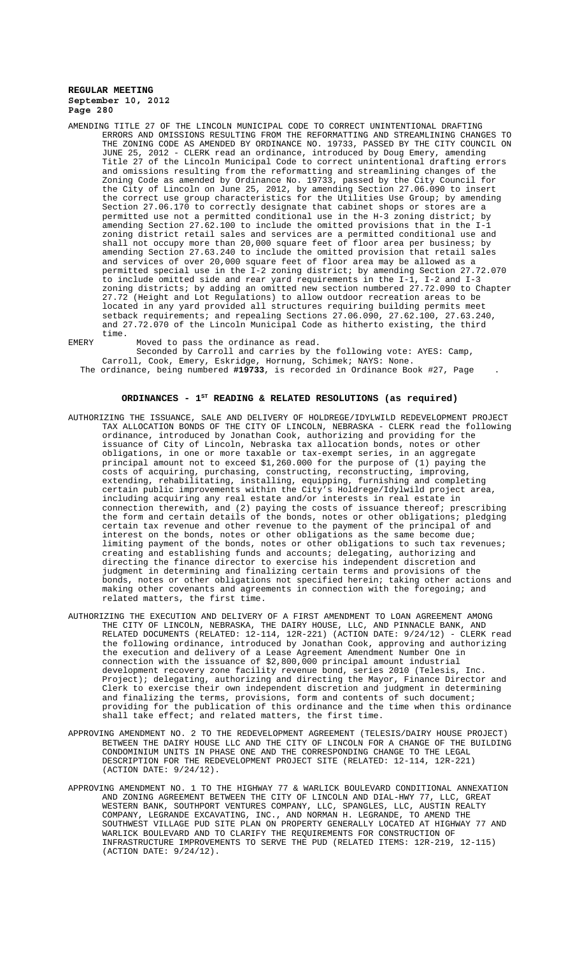AMENDING TITLE 27 OF THE LINCOLN MUNICIPAL CODE TO CORRECT UNINTENTIONAL DRAFTING ERRORS AND OMISSIONS RESULTING FROM THE REFORMATTING AND STREAMLINING CHANGES TO THE ZONING CODE AS AMENDED BY ORDINANCE NO. 19733, PASSED BY THE CITY COUNCIL ON JUNE 25, 2012 - CLERK read an ordinance, introduced by Doug Emery, amending Title 27 of the Lincoln Municipal Code to correct unintentional drafting errors and omissions resulting from the reformatting and streamlining changes of the Zoning Code as amended by Ordinance No. 19733, passed by the City Council for the City of Lincoln on June 25, 2012, by amending Section 27.06.090 to insert the correct use group characteristics for the Utilities Use Group; by amending Section 27.06.170 to correctly designate that cabinet shops or stores are a permitted use not a permitted conditional use in the H-3 zoning district; amending Section 27.62.100 to include the omitted provisions that in the I-1 zoning district retail sales and services are a permitted conditional use and shall not occupy more than 20,000 square feet of floor area per business; by amending Section 27.63.240 to include the omitted provision that retail sales and services of over 20,000 square feet of floor area may be allowed as a permitted special use in the I-2 zoning district; by amending Section 27.72.070 to include omitted side and rear yard requirements in the I-1, I-2 and I-3 zoning districts; by adding an omitted new section numbered 27.72.090 to Chapter 27.72 (Height and Lot Regulations) to allow outdoor recreation areas to be located in any yard provided all structures requiring building permits meet setback requirements; and repealing Sections 27.06.090, 27.62.100, 27.63.240, and 27.72.070 of the Lincoln Municipal Code as hitherto existing, the third time.

EMERY Moved to pass the ordinance as read.

Seconded by Carroll and carries by the following vote: AYES: Camp, Carroll, Cook, Emery, Eskridge, Hornung, Schimek; NAYS: None.

The ordinance, being numbered **#19733**, is recorded in Ordinance Book #27, Page .

# **ORDINANCES - 1ST READING & RELATED RESOLUTIONS (as required)**

- AUTHORIZING THE ISSUANCE, SALE AND DELIVERY OF HOLDREGE/IDYLWILD REDEVELOPMENT PROJECT TAX ALLOCATION BONDS OF THE CITY OF LINCOLN, NEBRASKA - CLERK read the following ordinance, introduced by Jonathan Cook, authorizing and providing for the issuance of City of Lincoln, Nebraska tax allocation bonds, notes or other obligations, in one or more taxable or tax-exempt series, in an aggregate principal amount not to exceed \$1,260.000 for the purpose of (1) paying the costs of acquiring, purchasing, constructing, reconstructing, improving, extending, rehabilitating, installing, equipping, furnishing and completing certain public improvements within the City's Holdrege/Idylwild project area, including acquiring any real estate and/or interests in real estate in connection therewith, and (2) paying the costs of issuance thereof; prescribing the form and certain details of the bonds, notes or other obligations; pledging certain tax revenue and other revenue to the payment of the principal of and interest on the bonds, notes or other obligations as the same become due; limiting payment of the bonds, notes or other obligations to such tax revenues; creating and establishing funds and accounts; delegating, authorizing and directing the finance director to exercise his independent discretion and judgment in determining and finalizing certain terms and provisions of the bonds, notes or other obligations not specified herein; taking other actions and making other covenants and agreements in connection with the foregoing; and related matters, the first time.
- AUTHORIZING THE EXECUTION AND DELIVERY OF A FIRST AMENDMENT TO LOAN AGREEMENT AMONG THE CITY OF LINCOLN, NEBRASKA, THE DAIRY HOUSE, LLC, AND PINNACLE BANK, AND RELATED DOCUMENTS (RELATED: 12-114, 12R-221) (ACTION DATE: 9/24/12) - CLERK read the following ordinance, introduced by Jonathan Cook, approving and authorizing the execution and delivery of a Lease Agreement Amendment Number One in connection with the issuance of \$2,800,000 principal amount industrial development recovery zone facility revenue bond, series 2010 (Telesis, Inc. Project); delegating, authorizing and directing the Mayor, Finance Director and Clerk to exercise their own independent discretion and judgment in determining and finalizing the terms, provisions, form and contents of such document; providing for the publication of this ordinance and the time when this ordinance shall take effect; and related matters, the first time.
- APPROVING AMENDMENT NO. 2 TO THE REDEVELOPMENT AGREEMENT (TELESIS/DAIRY HOUSE PROJECT) BETWEEN THE DAIRY HOUSE LLC AND THE CITY OF LINCOLN FOR A CHANGE OF THE BUILDING CONDOMINIUM UNITS IN PHASE ONE AND THE CORRESPONDING CHANGE TO THE LEGAL DESCRIPTION FOR THE REDEVELOPMENT PROJECT SITE (RELATED: 12-114, 12R-221) (ACTION DATE: 9/24/12).
- APPROVING AMENDMENT NO. 1 TO THE HIGHWAY 77 & WARLICK BOULEVARD CONDITIONAL ANNEXATION AND ZONING AGREEMENT BETWEEN THE CITY OF LINCOLN AND DIAL-HWY 77, LLC, GREAT WESTERN BANK, SOUTHPORT VENTURES COMPANY, LLC, SPANGLES, LLC, AUSTIN REALTY COMPANY, LEGRANDE EXCAVATING, INC., AND NORMAN H. LEGRANDE, TO AMEND THE SOUTHWEST VILLAGE PUD SITE PLAN ON PROPERTY GENERALLY LOCATED AT HIGHWAY 77 AND WARLICK BOULEVARD AND TO CLARIFY THE REQUIREMENTS FOR CONSTRUCTION OF INFRASTRUCTURE IMPROVEMENTS TO SERVE THE PUD (RELATED ITEMS: 12R-219, 12-115) (ACTION DATE: 9/24/12).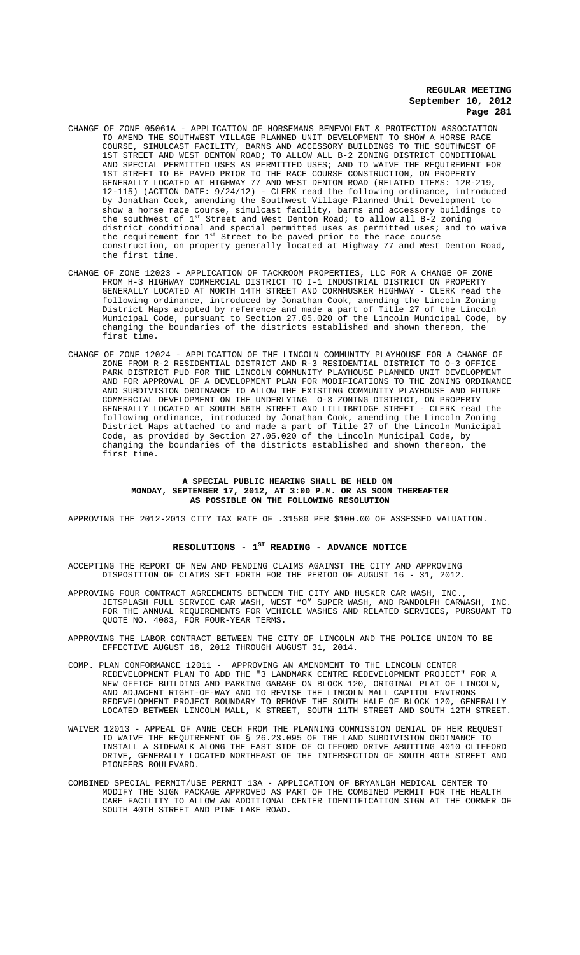- CHANGE OF ZONE 05061A APPLICATION OF HORSEMANS BENEVOLENT & PROTECTION ASSOCIATION TO AMEND THE SOUTHWEST VILLAGE PLANNED UNIT DEVELOPMENT TO SHOW A HORSE RACE COURSE, SIMULCAST FACILITY, BARNS AND ACCESSORY BUILDINGS TO THE SOUTHWEST OF 1ST STREET AND WEST DENTON ROAD; TO ALLOW ALL B-2 ZONING DISTRICT CONDITIONAL AND SPECIAL PERMITTED USES AS PERMITTED USES; AND TO WAIVE THE REQUIREMENT FOR 1ST STREET TO BE PAVED PRIOR TO THE RACE COURSE CONSTRUCTION, ON PROPERTY GENERALLY LOCATED AT HIGHWAY 77 AND WEST DENTON ROAD (RELATED ITEMS: 12R-219, 12-115) (ACTION DATE: 9/24/12) - CLERK read the following ordinance, introduced by Jonathan Cook, amending the Southwest Village Planned Unit Development to show a horse race course, simulcast facility, barns and accessory buildings to the southwest of  $1^{st}$  Street and West Denton Road; to allow all B-2 zoning district conditional and special permitted uses as permitted uses; and to waive the requirement for 1st Street to be paved prior to the race course construction, on property generally located at Highway 77 and West Denton Road, the first time.
- CHANGE OF ZONE 12023 APPLICATION OF TACKROOM PROPERTIES, LLC FOR A CHANGE OF ZONE FROM H-3 HIGHWAY COMMERCIAL DISTRICT TO I-1 INDUSTRIAL DISTRICT ON PROPERTY GENERALLY LOCATED AT NORTH 14TH STREET AND CORNHUSKER HIGHWAY - CLERK read the following ordinance, introduced by Jonathan Cook, amending the Lincoln Zoning District Maps adopted by reference and made a part of Title 27 of the Lincoln Municipal Code, pursuant to Section 27.05.020 of the Lincoln Municipal Code, by changing the boundaries of the districts established and shown thereon, the first time.
- CHANGE OF ZONE 12024 APPLICATION OF THE LINCOLN COMMUNITY PLAYHOUSE FOR A CHANGE OF ZONE FROM R-2 RESIDENTIAL DISTRICT AND R-3 RESIDENTIAL DISTRICT TO O-3 OFFICE PARK DISTRICT PUD FOR THE LINCOLN COMMUNITY PLAYHOUSE PLANNED UNIT DEVELOPMENT AND FOR APPROVAL OF A DEVELOPMENT PLAN FOR MODIFICATIONS TO THE ZONING ORDINANCE AND SUBDIVISION ORDINANCE TO ALLOW THE EXISTING COMMUNITY PLAYHOUSE AND FUTURE COMMERCIAL DEVELOPMENT ON THE UNDERLYING O-3 ZONING DISTRICT, ON PROPERTY GENERALLY LOCATED AT SOUTH 56TH STREET AND LILLIBRIDGE STREET - CLERK read the following ordinance, introduced by Jonathan Cook, amending the Lincoln Zoning District Maps attached to and made a part of Title 27 of the Lincoln Municipal Code, as provided by Section 27.05.020 of the Lincoln Municipal Code, by changing the boundaries of the districts established and shown thereon, the first time.

#### **A SPECIAL PUBLIC HEARING SHALL BE HELD ON MONDAY, SEPTEMBER 17, 2012, AT 3:00 P.M. OR AS SOON THEREAFTER AS POSSIBLE ON THE FOLLOWING RESOLUTION**

APPROVING THE 2012-2013 CITY TAX RATE OF .31580 PER \$100.00 OF ASSESSED VALUATION.

#### RESOLUTIONS - 1<sup>st</sup> READING - ADVANCE NOTICE

ACCEPTING THE REPORT OF NEW AND PENDING CLAIMS AGAINST THE CITY AND APPROVING DISPOSITION OF CLAIMS SET FORTH FOR THE PERIOD OF AUGUST 16 - 31, 2012.

APPROVING FOUR CONTRACT AGREEMENTS BETWEEN THE CITY AND HUSKER CAR WASH, INC., JETSPLASH FULL SERVICE CAR WASH, WEST "O" SUPER WASH, AND RANDOLPH CARWASH, INC. FOR THE ANNUAL REQUIREMENTS FOR VEHICLE WASHES AND RELATED SERVICES, PURSUANT TO QUOTE NO. 4083, FOR FOUR-YEAR TERMS.

APPROVING THE LABOR CONTRACT BETWEEN THE CITY OF LINCOLN AND THE POLICE UNION TO BE EFFECTIVE AUGUST 16, 2012 THROUGH AUGUST 31, 2014.

- COMP. PLAN CONFORMANCE 12011 APPROVING AN AMENDMENT TO THE LINCOLN CENTER REDEVELOPMENT PLAN TO ADD THE "3 LANDMARK CENTRE REDEVELOPMENT PROJECT" FOR A NEW OFFICE BUILDING AND PARKING GARAGE ON BLOCK 120, ORIGINAL PLAT OF LINCOLN, AND ADJACENT RIGHT-OF-WAY AND TO REVISE THE LINCOLN MALL CAPITOL ENVIRONS REDEVELOPMENT PROJECT BOUNDARY TO REMOVE THE SOUTH HALF OF BLOCK 120, GENERALLY LOCATED BETWEEN LINCOLN MALL, K STREET, SOUTH 11TH STREET AND SOUTH 12TH STREET.
- WAIVER 12013 APPEAL OF ANNE CECH FROM THE PLANNING COMMISSION DENIAL OF HER REQUEST TO WAIVE THE REQUIREMENT OF § 26.23.095 OF THE LAND SUBDIVISION ORDINANCE TO INSTALL A SIDEWALK ALONG THE EAST SIDE OF CLIFFORD DRIVE ABUTTING 4010 CLIFFORD DRIVE, GENERALLY LOCATED NORTHEAST OF THE INTERSECTION OF SOUTH 40TH STREET AND PIONEERS BOULEVARD.
- COMBINED SPECIAL PERMIT/USE PERMIT 13A APPLICATION OF BRYANLGH MEDICAL CENTER TO MODIFY THE SIGN PACKAGE APPROVED AS PART OF THE COMBINED PERMIT FOR THE HEALTH CARE FACILITY TO ALLOW AN ADDITIONAL CENTER IDENTIFICATION SIGN AT THE CORNER OF SOUTH 40TH STREET AND PINE LAKE ROAD.